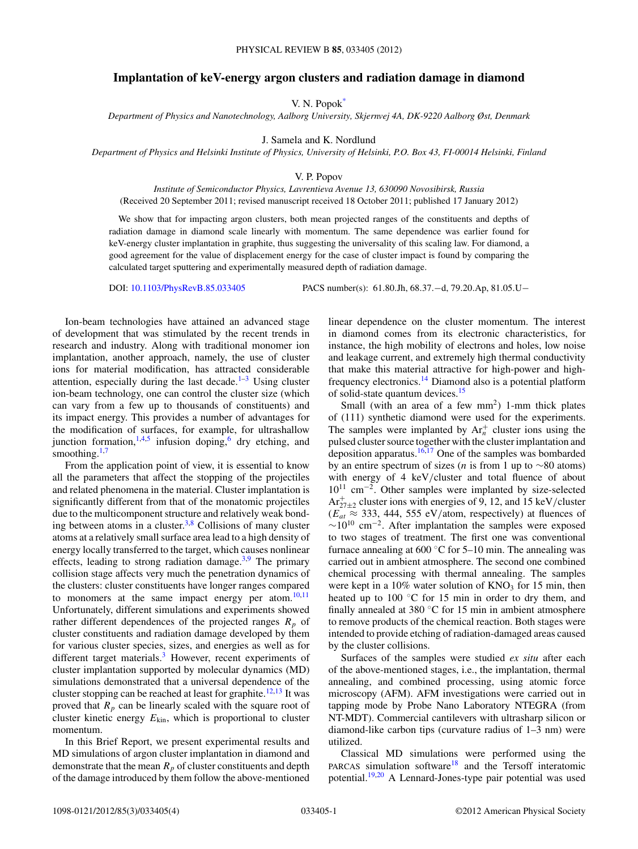## **Implantation of keV-energy argon clusters and radiation damage in diamond**

V. N. Popo[k\\*](#page-3-0)

*Department of Physics and Nanotechnology, Aalborg University, Skjernvej 4A, DK-9220 Aalborg Øst, Denmark*

J. Samela and K. Nordlund

*Department of Physics and Helsinki Institute of Physics, University of Helsinki, P.O. Box 43, FI-00014 Helsinki, Finland*

V. P. Popov

*Institute of Semiconductor Physics, Lavrentieva Avenue 13, 630090 Novosibirsk, Russia* (Received 20 September 2011; revised manuscript received 18 October 2011; published 17 January 2012)

We show that for impacting argon clusters, both mean projected ranges of the constituents and depths of radiation damage in diamond scale linearly with momentum. The same dependence was earlier found for keV-energy cluster implantation in graphite, thus suggesting the universality of this scaling law. For diamond, a good agreement for the value of displacement energy for the case of cluster impact is found by comparing the calculated target sputtering and experimentally measured depth of radiation damage.

DOI: [10.1103/PhysRevB.85.033405](http://dx.doi.org/10.1103/PhysRevB.85.033405) PACS number(s): 61*.*80*.*Jh, 68*.*37*.*−d, 79*.*20*.*Ap, 81*.*05*.*U−

Ion-beam technologies have attained an advanced stage of development that was stimulated by the recent trends in research and industry. Along with traditional monomer ion implantation, another approach, namely, the use of cluster ions for material modification, has attracted considerable attention, especially during the last decade. $1-3$  Using cluster ion-beam technology, one can control the cluster size (which can vary from a few up to thousands of constituents) and its impact energy. This provides a number of advantages for the modification of surfaces, for example, for ultrashallow junction formation,  $1,4,5$  infusion doping, <sup>[6](#page-3-0)</sup> dry etching, and smoothing. $1,7$ 

From the application point of view, it is essential to know all the parameters that affect the stopping of the projectiles and related phenomena in the material. Cluster implantation is significantly different from that of the monatomic projectiles due to the multicomponent structure and relatively weak bonding between atoms in a cluster. $3,8$  Collisions of many cluster atoms at a relatively small surface area lead to a high density of energy locally transferred to the target, which causes nonlinear effects, leading to strong radiation damage.<sup>3,9</sup> The primary collision stage affects very much the penetration dynamics of the clusters: cluster constituents have longer ranges compared to monomers at the same impact energy per atom. $10,11$ Unfortunately, different simulations and experiments showed rather different dependences of the projected ranges  $R_p$  of cluster constituents and radiation damage developed by them for various cluster species, sizes, and energies as well as for different target materials.<sup>3</sup> However, recent experiments of cluster implantation supported by molecular dynamics (MD) simulations demonstrated that a universal dependence of the cluster stopping can be reached at least for graphite.<sup>12,13</sup> It was proved that  $R_p$  can be linearly scaled with the square root of cluster kinetic energy *E*kin, which is proportional to cluster momentum.

In this Brief Report, we present experimental results and MD simulations of argon cluster implantation in diamond and demonstrate that the mean  $R_p$  of cluster constituents and depth of the damage introduced by them follow the above-mentioned linear dependence on the cluster momentum. The interest in diamond comes from its electronic characteristics, for instance, the high mobility of electrons and holes, low noise and leakage current, and extremely high thermal conductivity that make this material attractive for high-power and highfrequency electronics[.14](#page-3-0) Diamond also is a potential platform of solid-state quantum devices.<sup>15</sup>

Small (with an area of a few  $mm<sup>2</sup>$ ) 1-mm thick plates of (111) synthetic diamond were used for the experiments. The samples were implanted by  $Ar_n^+$  cluster ions using the pulsed cluster source together with the cluster implantation and deposition apparatus.<sup>16,17</sup> One of the samples was bombarded by an entire spectrum of sizes (*n* is from 1 up to ∼80 atoms) with energy of 4 keV*/*cluster and total fluence of about 1011 cm−2. Other samples were implanted by size-selected  $Ar_{27\pm2}^+$  cluster ions with energies of 9, 12, and 15 keV/cluster  $(E_{at} \approx 333, 444, 555 \text{ eV/atom, respectively})$  at fluences of  $~\sim$ 10<sup>10</sup> cm<sup>-2</sup>. After implantation the samples were exposed to two stages of treatment. The first one was conventional furnace annealing at  $600 °C$  for  $5-10$  min. The annealing was carried out in ambient atmosphere. The second one combined chemical processing with thermal annealing. The samples were kept in a  $10\%$  water solution of  $KNO<sub>3</sub>$  for 15 min, then heated up to  $100\degree C$  for 15 min in order to dry them, and finally annealed at 380 ◦C for 15 min in ambient atmosphere to remove products of the chemical reaction. Both stages were intended to provide etching of radiation-damaged areas caused by the cluster collisions.

Surfaces of the samples were studied *ex situ* after each of the above-mentioned stages, i.e., the implantation, thermal annealing, and combined processing, using atomic force microscopy (AFM). AFM investigations were carried out in tapping mode by Probe Nano Laboratory NTEGRA (from NT-MDT). Commercial cantilevers with ultrasharp silicon or diamond-like carbon tips (curvature radius of 1–3 nm) were utilized.

Classical MD simulations were performed using the PARCAS simulation software<sup>18</sup> and the Tersoff interatomic potential[.19,20](#page-3-0) A Lennard-Jones-type pair potential was used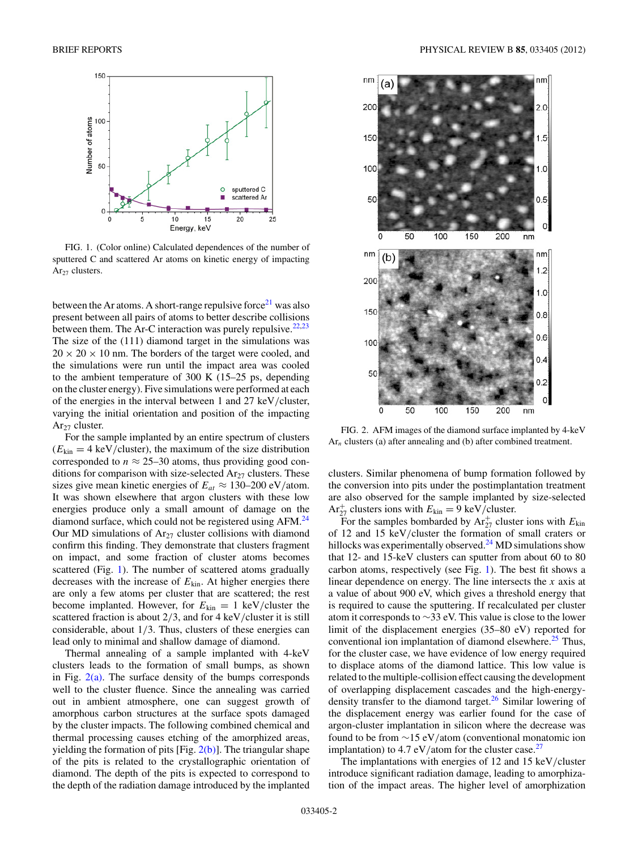<span id="page-1-0"></span>

FIG. 1. (Color online) Calculated dependences of the number of sputtered C and scattered Ar atoms on kinetic energy of impacting  $Ar_{27}$  clusters.

between the Ar atoms. A short-range repulsive force<sup>21</sup> was also present between all pairs of atoms to better describe collisions between them. The Ar-C interaction was purely repulsive.  $22,23$ The size of the (111) diamond target in the simulations was  $20 \times 20 \times 10$  nm. The borders of the target were cooled, and the simulations were run until the impact area was cooled to the ambient temperature of 300 K (15–25 ps, depending on the cluster energy). Five simulations were performed at each of the energies in the interval between 1 and 27 keV*/*cluster, varying the initial orientation and position of the impacting  $Ar_{27}$  cluster.

For the sample implanted by an entire spectrum of clusters  $(E_{kin} = 4 \text{ keV/cluster})$ , the maximum of the size distribution corresponded to  $n \approx 25-30$  atoms, thus providing good conditions for comparison with size-selected  $Ar_{27}$  clusters. These sizes give mean kinetic energies of  $E_{at} \approx 130{\text -}200 \text{ eV/atom.}$ It was shown elsewhere that argon clusters with these low energies produce only a small amount of damage on the diamond surface, which could not be registered using AFM.<sup>[24](#page-3-0)</sup> Our MD simulations of  $Ar_{27}$  cluster collisions with diamond confirm this finding. They demonstrate that clusters fragment on impact, and some fraction of cluster atoms becomes scattered (Fig. 1). The number of scattered atoms gradually decreases with the increase of *E*kin. At higher energies there are only a few atoms per cluster that are scattered; the rest become implanted. However, for  $E_{kin} = 1 \text{ keV/cluster}$  the scattered fraction is about 2*/*3, and for 4 keV*/*cluster it is still considerable, about 1*/*3. Thus, clusters of these energies can lead only to minimal and shallow damage of diamond.

Thermal annealing of a sample implanted with 4-keV clusters leads to the formation of small bumps, as shown in Fig.  $2(a)$ . The surface density of the bumps corresponds well to the cluster fluence. Since the annealing was carried out in ambient atmosphere, one can suggest growth of amorphous carbon structures at the surface spots damaged by the cluster impacts. The following combined chemical and thermal processing causes etching of the amorphized areas, yielding the formation of pits  $[Fig, 2(b)]$ . The triangular shape of the pits is related to the crystallographic orientation of diamond. The depth of the pits is expected to correspond to the depth of the radiation damage introduced by the implanted



FIG. 2. AFM images of the diamond surface implanted by 4-keV Ar<sub>n</sub> clusters (a) after annealing and (b) after combined treatment.

clusters. Similar phenomena of bump formation followed by the conversion into pits under the postimplantation treatment are also observed for the sample implanted by size-selected  $Ar_{27}^+$  clusters ions with  $E_{kin} = 9 \text{ keV/cluster.}$ 

For the samples bombarded by  $Ar_{27}^+$  cluster ions with  $E_{kin}$ of 12 and 15 keV*/*cluster the formation of small craters or hillocks was experimentally observed. $^{24}$  MD simulations show that 12- and 15-keV clusters can sputter from about 60 to 80 carbon atoms, respectively (see Fig. 1). The best fit shows a linear dependence on energy. The line intersects the *x* axis at a value of about 900 eV, which gives a threshold energy that is required to cause the sputtering. If recalculated per cluster atom it corresponds to ∼33 eV. This value is close to the lower limit of the displacement energies (35–80 eV) reported for conventional ion implantation of diamond elsewhere.<sup>[25](#page-3-0)</sup> Thus, for the cluster case, we have evidence of low energy required to displace atoms of the diamond lattice. This low value is related to the multiple-collision effect causing the development of overlapping displacement cascades and the high-energydensity transfer to the diamond target. $26$  Similar lowering of the displacement energy was earlier found for the case of argon-cluster implantation in silicon where the decrease was found to be from ∼15 eV*/*atom (conventional monatomic ion implantation) to 4.7 eV/atom for the cluster case.<sup>[27](#page-3-0)</sup>

The implantations with energies of 12 and 15 keV*/*cluster introduce significant radiation damage, leading to amorphization of the impact areas. The higher level of amorphization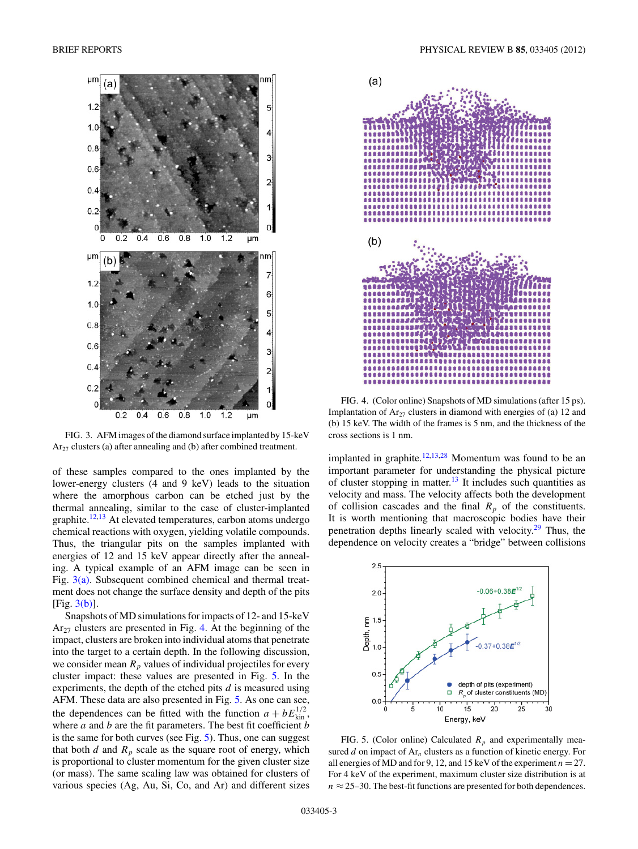<span id="page-2-0"></span>

FIG. 3. AFM images of the diamond surface implanted by 15-keV Ar<sub>27</sub> clusters (a) after annealing and (b) after combined treatment.

of these samples compared to the ones implanted by the lower-energy clusters (4 and 9 keV) leads to the situation where the amorphous carbon can be etched just by the thermal annealing, similar to the case of cluster-implanted graphite.<sup>[12,13](#page-3-0)</sup> At elevated temperatures, carbon atoms undergo chemical reactions with oxygen, yielding volatile compounds. Thus, the triangular pits on the samples implanted with energies of 12 and 15 keV appear directly after the annealing. A typical example of an AFM image can be seen in Fig. 3(a). Subsequent combined chemical and thermal treatment does not change the surface density and depth of the pits  $[Fig. 3(b)].$ 

Snapshots of MD simulations for impacts of 12- and 15-keV  $Ar_{27}$  clusters are presented in Fig. 4. At the beginning of the impact, clusters are broken into individual atoms that penetrate into the target to a certain depth. In the following discussion, we consider mean  $R_p$  values of individual projectiles for every cluster impact: these values are presented in Fig. 5. In the experiments, the depth of the etched pits *d* is measured using AFM. These data are also presented in Fig. 5. As one can see, the dependences can be fitted with the function  $a + bE_{\text{kin}}^{1/2}$ , where *a* and *b* are the fit parameters. The best fit coefficient *b* is the same for both curves (see Fig. 5). Thus, one can suggest that both  $d$  and  $R_p$  scale as the square root of energy, which is proportional to cluster momentum for the given cluster size (or mass). The same scaling law was obtained for clusters of various species (Ag, Au, Si, Co, and Ar) and different sizes



FIG. 4. (Color online) Snapshots of MD simulations (after 15 ps). Implantation of  $Ar_{27}$  clusters in diamond with energies of (a) 12 and (b) 15 keV. The width of the frames is 5 nm, and the thickness of the cross sections is 1 nm.

implanted in graphite.<sup>12,13,28</sup> Momentum was found to be an important parameter for understanding the physical picture of cluster stopping in matter.<sup>13</sup> It includes such quantities as velocity and mass. The velocity affects both the development of collision cascades and the final  $R_p$  of the constituents. It is worth mentioning that macroscopic bodies have their penetration depths linearly scaled with velocity[.29](#page-3-0) Thus, the dependence on velocity creates a "bridge" between collisions



FIG. 5. (Color online) Calculated  $R_p$  and experimentally measured *d* on impact of Ar*<sup>n</sup>* clusters as a function of kinetic energy. For all energies of MD and for 9, 12, and 15 keV of the experiment  $n = 27$ . For 4 keV of the experiment, maximum cluster size distribution is at  $n \approx 25-30$ . The best-fit functions are presented for both dependences.